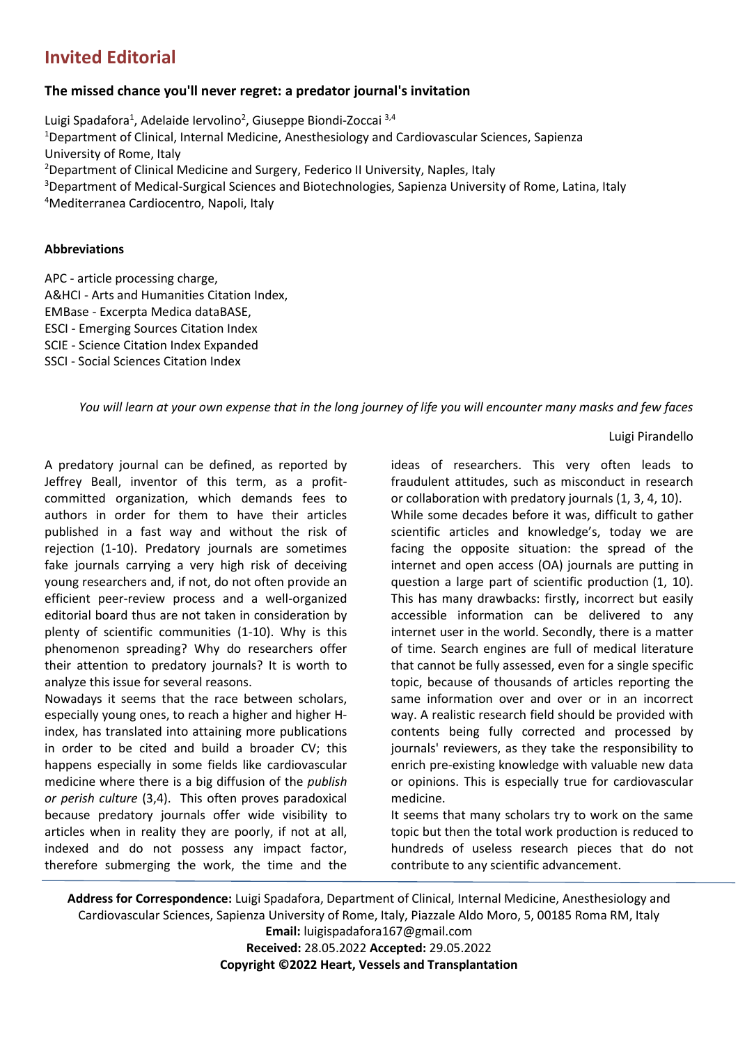# **Invited Editorial**

# **The missed chance you'll never regret: a predator journal's invitation**

Luigi Spadafora<sup>1</sup>, Adelaide Iervolino<sup>2</sup>, Giuseppe Biondi-Zoccai <sup>3,4</sup> <sup>1</sup>Department of Clinical, Internal Medicine, Anesthesiology and Cardiovascular Sciences, Sapienza University of Rome, Italy <sup>2</sup>Department of Clinical Medicine and Surgery, Federico II University, Naples, Italy <sup>3</sup>Department of Medical-Surgical Sciences and Biotechnologies, Sapienza University of Rome, Latina, Italy <sup>4</sup>Mediterranea Cardiocentro, Napoli, Italy

### **Abbreviations**

APC - article processing charge, A&HCI - Arts and Humanities Citation Index, EMBase - Excerpta Medica dataBASE, ESCI - Emerging Sources Citation Index SCIE - Science Citation Index Expanded SSCI - Social Sciences Citation Index

*You will learn at your own expense that in the long journey of life you will encounter many masks and few faces*

Luigi Pirandello

A predatory journal can be defined, as reported by Jeffrey Beall, inventor of this term, as a profitcommitted organization, which demands fees to authors in order for them to have their articles published in a fast way and without the risk of rejection (1-10). Predatory journals are sometimes fake journals carrying a very high risk of deceiving young researchers and, if not, do not often provide an efficient peer-review process and a well-organized editorial board thus are not taken in consideration by plenty of scientific communities (1-10). Why is this phenomenon spreading? Why do researchers offer their attention to predatory journals? It is worth to analyze this issue for several reasons.

Nowadays it seems that the race between scholars, especially young ones, to reach a higher and higher Hindex, has translated into attaining more publications in order to be cited and build a broader CV; this happens especially in some fields like cardiovascular medicine where there is a big diffusion of the *publish or perish culture* (3,4). This often proves paradoxical because predatory journals offer wide visibility to articles when in reality they are poorly, if not at all, indexed and do not possess any impact factor, therefore submerging the work, the time and the ideas of researchers. This very often leads to fraudulent attitudes, such as misconduct in research or collaboration with predatory journals (1, 3, 4, 10).

While some decades before it was, difficult to gather scientific articles and knowledge's, today we are facing the opposite situation: the spread of the internet and open access (OA) journals are putting in question a large part of scientific production (1, 10). This has many drawbacks: firstly, incorrect but easily accessible information can be delivered to any internet user in the world. Secondly, there is a matter of time. Search engines are full of medical literature that cannot be fully assessed, even for a single specific topic, because of thousands of articles reporting the same information over and over or in an incorrect way. A realistic research field should be provided with contents being fully corrected and processed by journals' reviewers, as they take the responsibility to enrich pre-existing knowledge with valuable new data or opinions. This is especially true for cardiovascular medicine.

It seems that many scholars try to work on the same topic but then the total work production is reduced to hundreds of useless research pieces that do not contribute to any scientific advancement.

**Address for Correspondence:** Luigi Spadafora, Department of Clinical, Internal Medicine, Anesthesiology and Cardiovascular Sciences, Sapienza University of Rome, Italy, Piazzale Aldo Moro, 5, 00185 Roma RM, Italy **Email:** luigispadafora167@gmail.com

**Received:** 28.05.2022 **Accepted:** 29.05.2022 **Copyright ©2022 Heart, Vessels and Transplantation**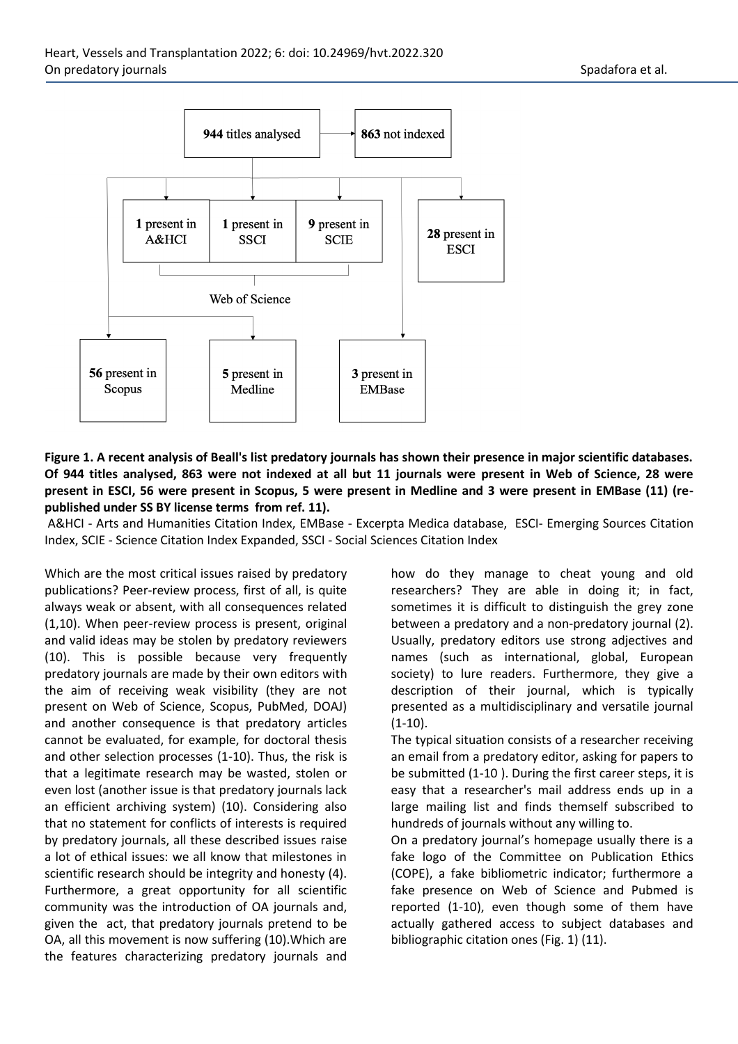

# **Figure 1. A recent analysis of Beall's list predatory journals has shown their presence in major scientific databases. Of 944 titles analysed, 863 were not indexed at all but 11 journals were present in Web of Science, 28 were present in ESCI, 56 were present in Scopus, 5 were present in Medline and 3 were present in EMBase (11) (republished under SS BY license terms from ref. 11).**

A&HCI - Arts and Humanities Citation Index, EMBase - Excerpta Medica database, ESCI- Emerging Sources Citation Index, SCIE - Science Citation Index Expanded, SSCI - Social Sciences Citation Index

Which are the most critical issues raised by predatory publications? Peer-review process, first of all, is quite always weak or absent, with all consequences related (1,10). When peer-review process is present, original and valid ideas may be stolen by predatory reviewers (10). This is possible because very frequently predatory journals are made by their own editors with the aim of receiving weak visibility (they are not present on Web of Science, Scopus, PubMed, DOAJ) and another consequence is that predatory articles cannot be evaluated, for example, for doctoral thesis and other selection processes (1-10). Thus, the risk is that a legitimate research may be wasted, stolen or even lost (another issue is that predatory journals lack an efficient archiving system) (10). Considering also that no statement for conflicts of interests is required by predatory journals, all these described issues raise a lot of ethical issues: we all know that milestones in scientific research should be integrity and honesty (4). Furthermore, a great opportunity for all scientific community was the introduction of OA journals and, given the act, that predatory journals pretend to be OA, all this movement is now suffering (10).Which are the features characterizing predatory journals and how do they manage to cheat young and old researchers? They are able in doing it; in fact, sometimes it is difficult to distinguish the grey zone between a predatory and a non-predatory journal (2). Usually, predatory editors use strong adjectives and names (such as international, global, European society) to lure readers. Furthermore, they give a description of their journal, which is typically presented as a multidisciplinary and versatile journal  $(1-10)$ .

The typical situation consists of a researcher receiving an email from a predatory editor, asking for papers to be submitted (1-10 ). During the first career steps, it is easy that a researcher's mail address ends up in a large mailing list and finds themself subscribed to hundreds of journals without any willing to.

On a predatory journal's homepage usually there is a fake logo of the Committee on Publication Ethics (COPE), a fake bibliometric indicator; furthermore a fake presence on Web of Science and Pubmed is reported (1-10), even though some of them have actually gathered access to subject databases and bibliographic citation ones (Fig. 1) (11).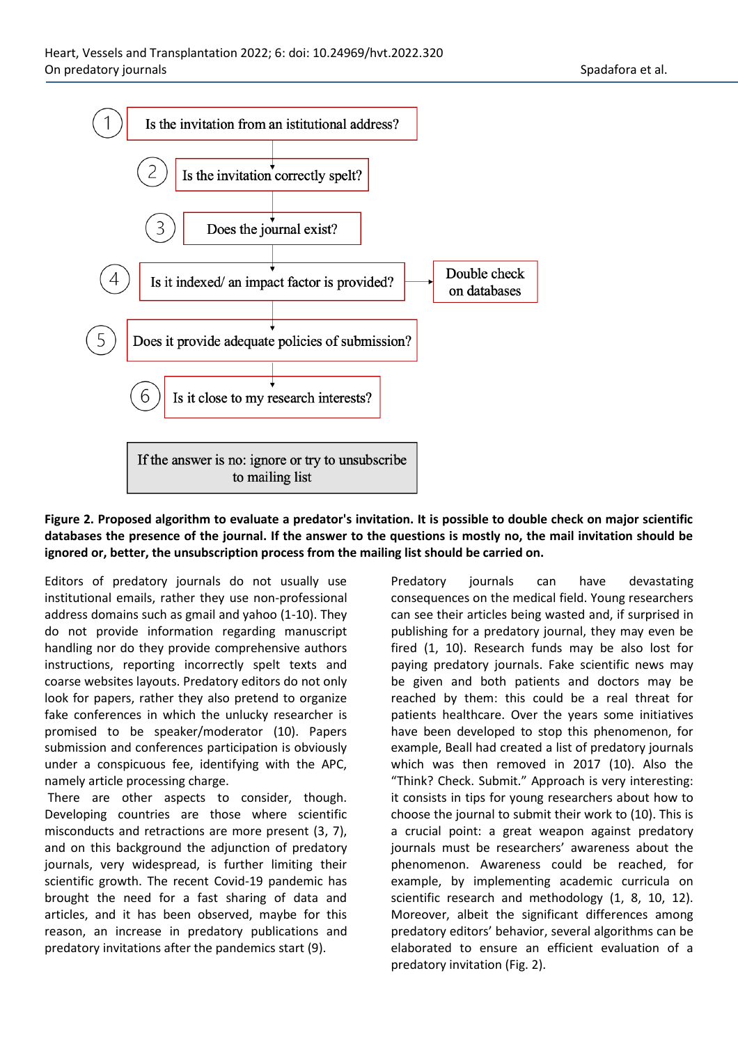

## **Figure 2. Proposed algorithm to evaluate a predator's invitation. It is possible to double check on major scientific databases the presence of the journal. If the answer to the questions is mostly no, the mail invitation should be ignored or, better, the unsubscription process from the mailing list should be carried on.**

Editors of predatory journals do not usually use institutional emails, rather they use non-professional address domains such as gmail and yahoo (1-10). They do not provide information regarding manuscript handling nor do they provide comprehensive authors instructions, reporting incorrectly spelt texts and coarse websites layouts. Predatory editors do not only look for papers, rather they also pretend to organize fake conferences in which the unlucky researcher is promised to be speaker/moderator (10). Papers submission and conferences participation is obviously under a conspicuous fee, identifying with the APC, namely article processing charge.

There are other aspects to consider, though. Developing countries are those where scientific misconducts and retractions are more present (3, 7), and on this background the adjunction of predatory journals, very widespread, is further limiting their scientific growth. The recent Covid-19 pandemic has brought the need for a fast sharing of data and articles, and it has been observed, maybe for this reason, an increase in predatory publications and predatory invitations after the pandemics start (9).

Predatory journals can have devastating consequences on the medical field. Young researchers can see their articles being wasted and, if surprised in publishing for a predatory journal, they may even be fired (1, 10). Research funds may be also lost for paying predatory journals. Fake scientific news may be given and both patients and doctors may be reached by them: this could be a real threat for patients healthcare. Over the years some initiatives have been developed to stop this phenomenon, for example, Beall had created a list of predatory journals which was then removed in 2017 (10). Also the "Think? Check. Submit." Approach is very interesting: it consists in tips for young researchers about how to choose the journal to submit their work to (10). This is a crucial point: a great weapon against predatory journals must be researchers' awareness about the phenomenon. Awareness could be reached, for example, by implementing academic curricula on scientific research and methodology (1, 8, 10, 12). Moreover, albeit the significant differences among predatory editors' behavior, several algorithms can be elaborated to ensure an efficient evaluation of a predatory invitation (Fig. 2).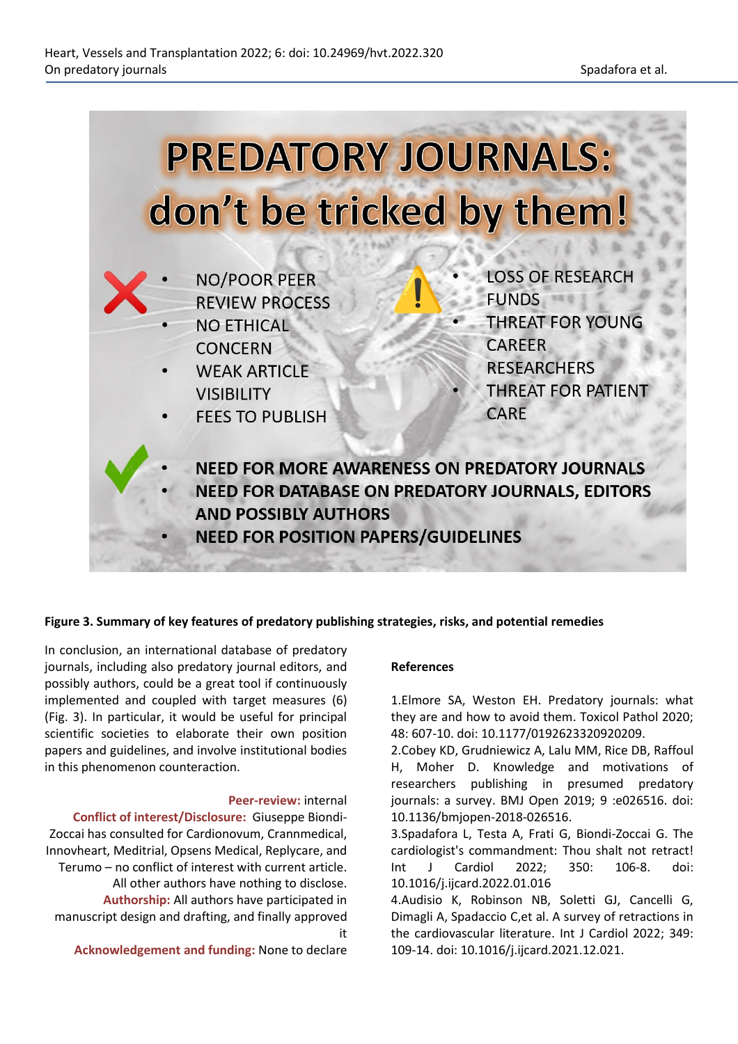

#### **Figure 3. Summary of key features of predatory publishing strategies, risks, and potential remedies**

In conclusion, an international database of predatory journals, including also predatory journal editors, and possibly authors, could be a great tool if continuously implemented and coupled with target measures (6) (Fig. 3). In particular, it would be useful for principal scientific societies to elaborate their own position papers and guidelines, and involve institutional bodies in this phenomenon counteraction.

#### **Peer-review:** internal

**Conflict of interest/Disclosure:** Giuseppe Biondi-Zoccai has consulted for Cardionovum, Crannmedical, Innovheart, Meditrial, Opsens Medical, Replycare, and Terumo – no conflict of interest with current article. All other authors have nothing to disclose. **Authorship:** All authors have participated in manuscript design and drafting, and finally approved it

**Acknowledgement and funding:** None to declare

#### **References**

1.Elmore SA, Weston EH. Predatory journals: what they are and how to avoid them. Toxicol Pathol 2020; 48: 607-10. doi: 10.1177/0192623320920209.

2.Cobey KD, Grudniewicz A, Lalu MM, Rice DB, Raffoul H, Moher D. Knowledge and motivations of researchers publishing in presumed predatory journals: a survey. BMJ Open 2019; 9 :e026516. doi: 10.1136/bmjopen-2018-026516.

3.Spadafora L, Testa A, Frati G, Biondi-Zoccai G. The cardiologist's commandment: Thou shalt not retract! Int J Cardiol 2022; 350: 106-8. doi: 10.1016/j.ijcard.2022.01.016

4.Audisio K, Robinson NB, Soletti GJ, Cancelli G, Dimagli A, Spadaccio C,et al. A survey of retractions in the cardiovascular literature. Int J Cardiol 2022; 349: 109-14. doi: 10.1016/j.ijcard.2021.12.021.